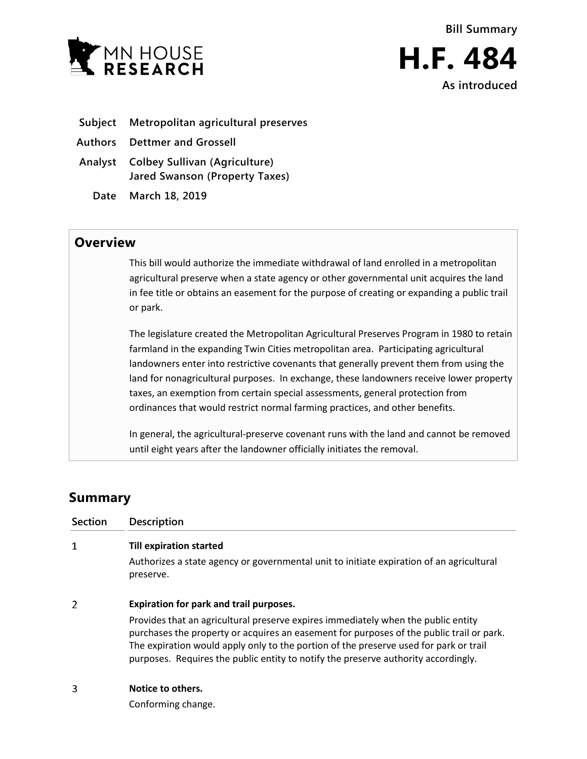

**As introduced**

- **Subject Metropolitan agricultural preserves**
- **Authors Dettmer and Grossell**
- **Analyst Colbey Sullivan (Agriculture) Jared Swanson (Property Taxes)**
	- **Date March 18, 2019**

## **Overview**

This bill would authorize the immediate withdrawal of land enrolled in a metropolitan agricultural preserve when a state agency or other governmental unit acquires the land in fee title or obtains an easement for the purpose of creating or expanding a public trail or park.

The legislature created the Metropolitan Agricultural Preserves Program in 1980 to retain farmland in the expanding Twin Cities metropolitan area. Participating agricultural landowners enter into restrictive covenants that generally prevent them from using the land for nonagricultural purposes. In exchange, these landowners receive lower property taxes, an exemption from certain special assessments, general protection from ordinances that would restrict normal farming practices, and other benefits.

In general, the agricultural-preserve covenant runs with the land and cannot be removed until eight years after the landowner officially initiates the removal.

## **Summary**

| Section | <b>Description</b>                                                                                                                                                                                                                                                                                                                                           |
|---------|--------------------------------------------------------------------------------------------------------------------------------------------------------------------------------------------------------------------------------------------------------------------------------------------------------------------------------------------------------------|
| 1       | <b>Till expiration started</b><br>Authorizes a state agency or governmental unit to initiate expiration of an agricultural<br>preserve.                                                                                                                                                                                                                      |
| 2       | Expiration for park and trail purposes.                                                                                                                                                                                                                                                                                                                      |
|         | Provides that an agricultural preserve expires immediately when the public entity<br>purchases the property or acquires an easement for purposes of the public trail or park.<br>The expiration would apply only to the portion of the preserve used for park or trail<br>purposes. Requires the public entity to notify the preserve authority accordingly. |
|         | Notice to others.                                                                                                                                                                                                                                                                                                                                            |

Conforming change.